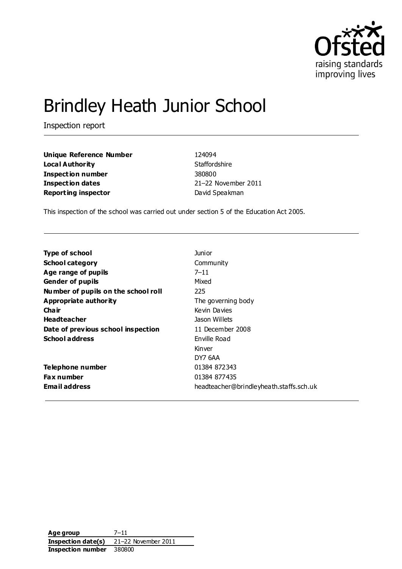

# Brindley Heath Junior School

Inspection report

**Unique Reference Number** 124094 **Local Authority** Staffordshire **Inspection number** 380800 **Inspection dates** 21–22 November 2011 **Reporting inspector David Speakman** 

This inspection of the school was carried out under section 5 of the Education Act 2005.

| <b>Type of school</b>               | <b>Junior</b>                           |
|-------------------------------------|-----------------------------------------|
| <b>School category</b>              | Community                               |
| Age range of pupils                 | $7 - 11$                                |
| <b>Gender of pupils</b>             | Mixed                                   |
| Number of pupils on the school roll | 225                                     |
| <b>Appropriate authority</b>        | The governing body                      |
| Cha ir                              | Kevin Davies                            |
| <b>Headteacher</b>                  | Jason Willets                           |
| Date of previous school inspection  | 11 December 2008                        |
| <b>School address</b>               | Enville Road                            |
|                                     | Kinver                                  |
|                                     | DY7 6AA                                 |
| Telephone number                    | 01384 872343                            |
| <b>Fax number</b>                   | 01384 877435                            |
| <b>Email address</b>                | headteacher@brindleyheath.staffs.sch.uk |

**Age group** 7–11 **Inspection date(s)** 21–22 November 2011 **Inspection number** 380800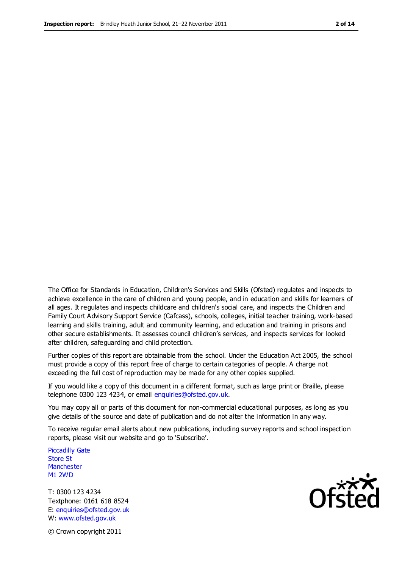The Office for Standards in Education, Children's Services and Skills (Ofsted) regulates and inspects to achieve excellence in the care of children and young people, and in education and skills for learners of all ages. It regulates and inspects childcare and children's social care, and inspects the Children and Family Court Advisory Support Service (Cafcass), schools, colleges, initial teacher training, work-based learning and skills training, adult and community learning, and education and training in prisons and other secure establishments. It assesses council children's services, and inspects services for looked after children, safeguarding and child protection.

Further copies of this report are obtainable from the school. Under the Education Act 2005, the school must provide a copy of this report free of charge to certain categories of people. A charge not exceeding the full cost of reproduction may be made for any other copies supplied.

If you would like a copy of this document in a different format, such as large print or Braille, please telephone 0300 123 4234, or email enquiries@ofsted.gov.uk.

You may copy all or parts of this document for non-commercial educational purposes, as long as you give details of the source and date of publication and do not alter the information in any way.

To receive regular email alerts about new publications, including survey reports and school inspection reports, please visit our website and go to 'Subscribe'.

Piccadilly Gate Store St **Manchester** M1 2WD

T: 0300 123 4234 Textphone: 0161 618 8524 E: enquiries@ofsted.gov.uk W: www.ofsted.gov.uk

**Ofsted** 

© Crown copyright 2011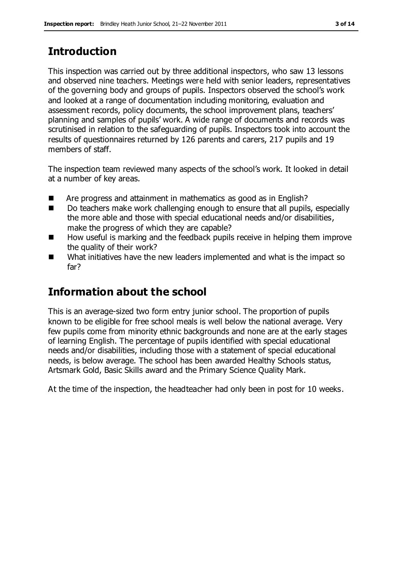# **Introduction**

This inspection was carried out by three additional inspectors, who saw 13 lessons and observed nine teachers. Meetings were held with senior leaders, representatives of the governing body and groups of pupils. Inspectors observed the school's work and looked at a range of documentation including monitoring, evaluation and assessment records, policy documents, the school improvement plans, teachers' planning and samples of pupils' work. A wide range of documents and records was scrutinised in relation to the safeguarding of pupils. Inspectors took into account the results of questionnaires returned by 126 parents and carers, 217 pupils and 19 members of staff.

The inspection team reviewed many aspects of the school's work. It looked in detail at a number of key areas.

- Are progress and attainment in mathematics as good as in English?
- Do teachers make work challenging enough to ensure that all pupils, especially the more able and those with special educational needs and/or disabilities, make the progress of which they are capable?
- How useful is marking and the feedback pupils receive in helping them improve the quality of their work?
- What initiatives have the new leaders implemented and what is the impact so far?

# **Information about the school**

This is an average-sized two form entry junior school. The proportion of pupils known to be eligible for free school meals is well below the national average. Very few pupils come from minority ethnic backgrounds and none are at the early stages of learning English. The percentage of pupils identified with special educational needs and/or disabilities, including those with a statement of special educational needs, is below average. The school has been awarded Healthy Schools status, Artsmark Gold, Basic Skills award and the Primary Science Quality Mark.

At the time of the inspection, the headteacher had only been in post for 10 weeks.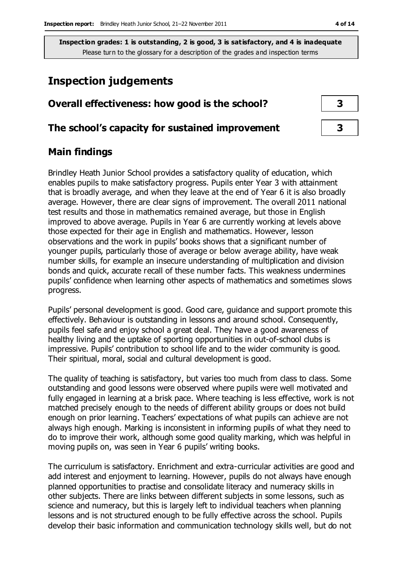# **Inspection judgements**

## **Overall effectiveness: how good is the school? 3**

#### **The school's capacity for sustained improvement 3**

## **Main findings**

Brindley Heath Junior School provides a satisfactory quality of education, which enables pupils to make satisfactory progress. Pupils enter Year 3 with attainment that is broadly average, and when they leave at the end of Year 6 it is also broadly average. However, there are clear signs of improvement. The overall 2011 national test results and those in mathematics remained average, but those in English improved to above average. Pupils in Year 6 are currently working at levels above those expected for their age in English and mathematics. However, lesson observations and the work in pupils' books shows that a significant number of younger pupils, particularly those of average or below average ability, have weak number skills, for example an insecure understanding of multiplication and division bonds and quick, accurate recall of these number facts. This weakness undermines pupils' confidence when learning other aspects of mathematics and sometimes slows progress.

Pupils' personal development is good. Good care, guidance and support promote this effectively. Behaviour is outstanding in lessons and around school. Consequently, pupils feel safe and enjoy school a great deal. They have a good awareness of healthy living and the uptake of sporting opportunities in out-of-school clubs is impressive. Pupils' contribution to school life and to the wider community is good. Their spiritual, moral, social and cultural development is good.

The quality of teaching is satisfactory, but varies too much from class to class. Some outstanding and good lessons were observed where pupils were well motivated and fully engaged in learning at a brisk pace. Where teaching is less effective, work is not matched precisely enough to the needs of different ability groups or does not build enough on prior learning. Teachers' expectations of what pupils can achieve are not always high enough. Marking is inconsistent in informing pupils of what they need to do to improve their work, although some good quality marking, which was helpful in moving pupils on, was seen in Year 6 pupils' writing books.

The curriculum is satisfactory. Enrichment and extra-curricular activities are good and add interest and enjoyment to learning. However, pupils do not always have enough planned opportunities to practise and consolidate literacy and numeracy skills in other subjects. There are links between different subjects in some lessons, such as science and numeracy, but this is largely left to individual teachers when planning lessons and is not structured enough to be fully effective across the school. Pupils develop their basic information and communication technology skills well, but do not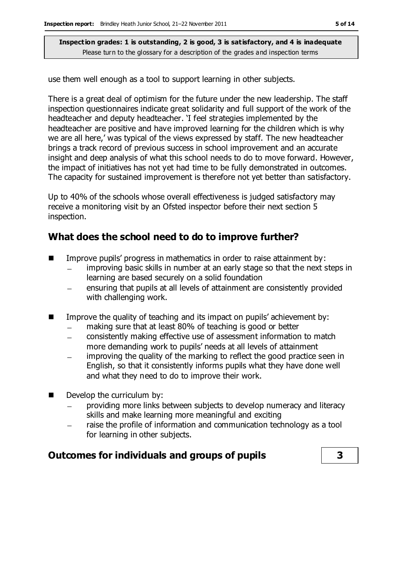use them well enough as a tool to support learning in other subjects.

There is a great deal of optimism for the future under the new leadership. The staff inspection questionnaires indicate great solidarity and full support of the work of the headteacher and deputy headteacher. 'I feel strategies implemented by the headteacher are positive and have improved learning for the children which is why we are all here,' was typical of the views expressed by staff. The new headteacher brings a track record of previous success in school improvement and an accurate insight and deep analysis of what this school needs to do to move forward. However, the impact of initiatives has not yet had time to be fully demonstrated in outcomes. The capacity for sustained improvement is therefore not yet better than satisfactory.

Up to 40% of the schools whose overall effectiveness is judged satisfactory may receive a monitoring visit by an Ofsted inspector before their next section 5 inspection.

## **What does the school need to do to improve further?**

- $\blacksquare$  Improve pupils' progress in mathematics in order to raise attainment by:
	- improving basic skills in number at an early stage so that the next steps in learning are based securely on a solid foundation
	- ensuring that pupils at all levels of attainment are consistently provided with challenging work.
- Improve the quality of teaching and its impact on pupils' achievement by:
	- making sure that at least 80% of teaching is good or better  $\equiv$
	- consistently making effective use of assessment information to match  $\overline{\phantom{a}}$ more demanding work to pupils' needs at all levels of attainment
	- improving the quality of the marking to reflect the good practice seen in English, so that it consistently informs pupils what they have done well and what they need to do to improve their work.
- **Develop the curriculum by:** 
	- providing more links between subjects to develop numeracy and literacy skills and make learning more meaningful and exciting
	- raise the profile of information and communication technology as a tool for learning in other subjects.

## **Outcomes for individuals and groups of pupils 3**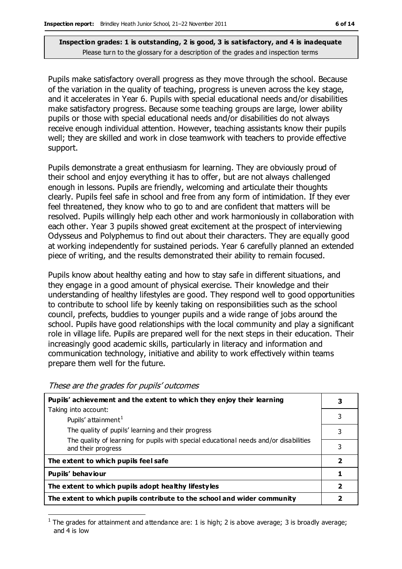Pupils make satisfactory overall progress as they move through the school. Because of the variation in the quality of teaching, progress is uneven across the key stage, and it accelerates in Year 6. Pupils with special educational needs and/or disabilities make satisfactory progress. Because some teaching groups are large, lower ability pupils or those with special educational needs and/or disabilities do not always receive enough individual attention. However, teaching assistants know their pupils well; they are skilled and work in close teamwork with teachers to provide effective support.

Pupils demonstrate a great enthusiasm for learning. They are obviously proud of their school and enjoy everything it has to offer, but are not always challenged enough in lessons. Pupils are friendly, welcoming and articulate their thoughts clearly. Pupils feel safe in school and free from any form of intimidation. If they ever feel threatened, they know who to go to and are confident that matters will be resolved. Pupils willingly help each other and work harmoniously in collaboration with each other. Year 3 pupils showed great excitement at the prospect of interviewing Odysseus and Polyphemus to find out about their characters. They are equally good at working independently for sustained periods. Year 6 carefully planned an extended piece of writing, and the results demonstrated their ability to remain focused.

Pupils know about healthy eating and how to stay safe in different situations, and they engage in a good amount of physical exercise. Their knowledge and their understanding of healthy lifestyles are good. They respond well to good opportunities to contribute to school life by keenly taking on responsibilities such as the school council, prefects, buddies to younger pupils and a wide range of jobs around the school. Pupils have good relationships with the local community and play a significant role in village life. Pupils are prepared well for the next steps in their education. Their increasingly good academic skills, particularly in literacy and information and communication technology, initiative and ability to work effectively within teams prepare them well for the future.

| Pupils' achievement and the extent to which they enjoy their learning                                       |                         |
|-------------------------------------------------------------------------------------------------------------|-------------------------|
| Taking into account:                                                                                        |                         |
| Pupils' attainment <sup>1</sup>                                                                             | 3                       |
| The quality of pupils' learning and their progress                                                          | 3                       |
| The quality of learning for pupils with special educational needs and/or disabilities<br>and their progress | 3                       |
| The extent to which pupils feel safe                                                                        | $\overline{\mathbf{2}}$ |
| Pupils' behaviour                                                                                           |                         |
| The extent to which pupils adopt healthy lifestyles                                                         | 2                       |
| The extent to which pupils contribute to the school and wider community                                     |                         |

#### These are the grades for pupils' outcomes

 $\overline{a}$ 

<sup>1</sup> The grades for attainment and attendance are: 1 is high; 2 is above average; 3 is broadly average; and 4 is low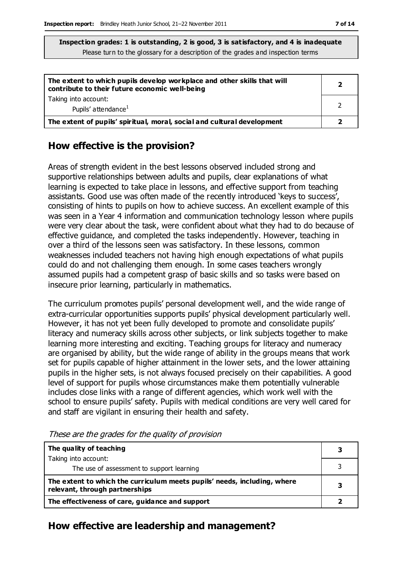| The extent to which pupils develop workplace and other skills that will<br>contribute to their future economic well-being |  |
|---------------------------------------------------------------------------------------------------------------------------|--|
| Taking into account:<br>Pupils' attendance <sup>1</sup>                                                                   |  |
| The extent of pupils' spiritual, moral, social and cultural development                                                   |  |

#### **How effective is the provision?**

Areas of strength evident in the best lessons observed included strong and supportive relationships between adults and pupils, clear explanations of what learning is expected to take place in lessons, and effective support from teaching assistants. Good use was often made of the recently introduced 'keys to success', consisting of hints to pupils on how to achieve success. An excellent example of this was seen in a Year 4 information and communication technology lesson where pupils were very clear about the task, were confident about what they had to do because of effective guidance, and completed the tasks independently. However, teaching in over a third of the lessons seen was satisfactory. In these lessons, common weaknesses included teachers not having high enough expectations of what pupils could do and not challenging them enough. In some cases teachers wrongly assumed pupils had a competent grasp of basic skills and so tasks were based on insecure prior learning, particularly in mathematics.

The curriculum promotes pupils' personal development well, and the wide range of extra-curricular opportunities supports pupils' physical development particularly well. However, it has not yet been fully developed to promote and consolidate pupils' literacy and numeracy skills across other subjects, or link subjects together to make learning more interesting and exciting. Teaching groups for literacy and numeracy are organised by ability, but the wide range of ability in the groups means that work set for pupils capable of higher attainment in the lower sets, and the lower attaining pupils in the higher sets, is not always focused precisely on their capabilities. A good level of support for pupils whose circumstances make them potentially vulnerable includes close links with a range of different agencies, which work well with the school to ensure pupils' safety. Pupils with medical conditions are very well cared for and staff are vigilant in ensuring their health and safety.

| The quality of teaching                                                                                    |  |
|------------------------------------------------------------------------------------------------------------|--|
| Taking into account:                                                                                       |  |
| The use of assessment to support learning                                                                  |  |
| The extent to which the curriculum meets pupils' needs, including, where<br>relevant, through partnerships |  |
| The effectiveness of care, guidance and support                                                            |  |

These are the grades for the quality of provision

# **How effective are leadership and management?**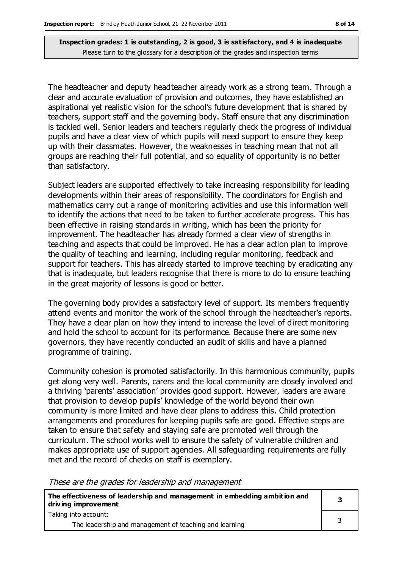The headteacher and deputy headteacher already work as a strong team. Through a clear and accurate evaluation of provision and outcomes, they have established an aspirational yet realistic vision for the school's future development that is shared by teachers, support staff and the governing body. Staff ensure that any discrimination is tackled well. Senior leaders and teachers regularly check the progress of individual pupils and have a clear view of which pupils will need support to ensure they keep up with their classmates. However, the weaknesses in teaching mean that not all groups are reaching their full potential, and so equality of opportunity is no better than satisfactory.

Subject leaders are supported effectively to take increasing responsibility for leading developments within their areas of responsibility. The coordinators for English and mathematics carry out a range of monitoring activities and use this information well to identify the actions that need to be taken to further accelerate progress. This has been effective in raising standards in writing, which has been the priority for improvement. The headteacher has already formed a clear view of strengths in teaching and aspects that could be improved. He has a clear action plan to improve the quality of teaching and learning, including regular monitoring, feedback and support for teachers. This has already started to improve teaching by eradicating any that is inadequate, but leaders recognise that there is more to do to ensure teaching in the great majority of lessons is good or better.

The governing body provides a satisfactory level of support. Its members frequently attend events and monitor the work of the school through the headteacher's reports. They have a clear plan on how they intend to increase the level of direct monitoring and hold the school to account for its performance. Because there are some new governors, they have recently conducted an audit of skills and have a planned programme of training.

Community cohesion is promoted satisfactorily. In this harmonious community, pupils get along very well. Parents, carers and the local community are closely involved and a thriving 'parents' association' provides good support. However, leaders are aware that provision to develop pupils' knowledge of the world beyond their own community is more limited and have clear plans to address this. Child protection arrangements and procedures for keeping pupils safe are good. Effective steps are taken to ensure that safety and staying safe are promoted well through the curriculum. The school works well to ensure the safety of vulnerable children and makes appropriate use of support agencies. All safeguarding requirements are fully met and the record of checks on staff is exemplary.

These are the grades for leadership and management

| The effectiveness of leadership and management in embedding ambition and<br>driving improvement |  |
|-------------------------------------------------------------------------------------------------|--|
| Taking into account:                                                                            |  |
| The leadership and management of teaching and learning                                          |  |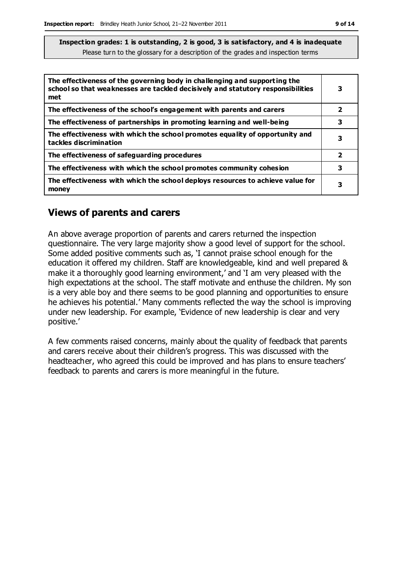| The effectiveness of the governing body in challenging and supporting the<br>school so that weaknesses are tackled decisively and statutory responsibilities<br>met | 3                       |
|---------------------------------------------------------------------------------------------------------------------------------------------------------------------|-------------------------|
| The effectiveness of the school's engagement with parents and carers                                                                                                | $\overline{\mathbf{2}}$ |
| The effectiveness of partnerships in promoting learning and well-being                                                                                              | 3                       |
| The effectiveness with which the school promotes equality of opportunity and<br>tackles discrimination                                                              | 3                       |
| The effectiveness of safeguarding procedures                                                                                                                        | $\overline{\mathbf{2}}$ |
| The effectiveness with which the school promotes community cohesion                                                                                                 | 3                       |
| The effectiveness with which the school deploys resources to achieve value for<br>money                                                                             | 3                       |

#### **Views of parents and carers**

An above average proportion of parents and carers returned the inspection questionnaire. The very large majority show a good level of support for the school. Some added positive comments such as, 'I cannot praise school enough for the education it offered my children. Staff are knowledgeable, kind and well prepared & make it a thoroughly good learning environment,' and 'I am very pleased with the high expectations at the school. The staff motivate and enthuse the children. My son is a very able boy and there seems to be good planning and opportunities to ensure he achieves his potential.' Many comments reflected the way the school is improving under new leadership. For example, 'Evidence of new leadership is clear and very positive.'

A few comments raised concerns, mainly about the quality of feedback that parents and carers receive about their children's progress. This was discussed with the headteacher, who agreed this could be improved and has plans to ensure teachers' feedback to parents and carers is more meaningful in the future.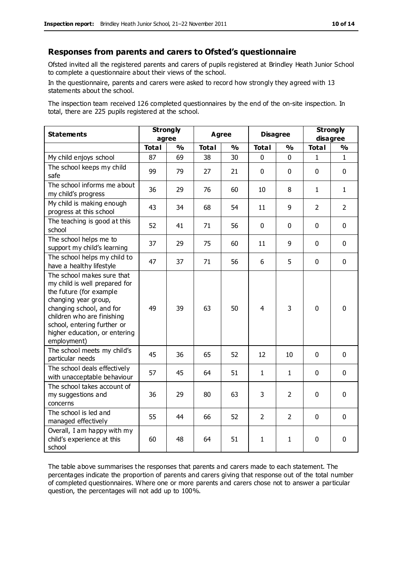#### **Responses from parents and carers to Ofsted's questionnaire**

Ofsted invited all the registered parents and carers of pupils registered at Brindley Heath Junior School to complete a questionnaire about their views of the school.

In the questionnaire, parents and carers were asked to record how strongly they agreed with 13 statements about the school.

The inspection team received 126 completed questionnaires by the end of the on-site inspection. In total, there are 225 pupils registered at the school.

| <b>Statements</b>                                                                                                                                                                                                                                       | <b>Strongly</b> |               | <b>Agree</b><br><b>Total</b><br>$\frac{0}{0}$ |    | <b>Disagree</b><br><b>Total</b><br>$\frac{0}{0}$ |                | <b>Strongly</b>                           |                |
|---------------------------------------------------------------------------------------------------------------------------------------------------------------------------------------------------------------------------------------------------------|-----------------|---------------|-----------------------------------------------|----|--------------------------------------------------|----------------|-------------------------------------------|----------------|
| agree<br><b>Total</b>                                                                                                                                                                                                                                   |                 | $\frac{0}{0}$ |                                               |    |                                                  |                | disagree<br><b>Total</b><br>$\frac{1}{2}$ |                |
| My child enjoys school                                                                                                                                                                                                                                  | 87              | 69            | 38                                            | 30 | 0                                                | 0              | 1                                         | $\mathbf{1}$   |
| The school keeps my child<br>safe                                                                                                                                                                                                                       | 99              | 79            | 27                                            | 21 | $\mathbf 0$                                      | $\mathbf 0$    | $\mathbf{0}$                              | $\mathbf 0$    |
| The school informs me about<br>my child's progress                                                                                                                                                                                                      | 36              | 29            | 76                                            | 60 | 10                                               | 8              | $\mathbf{1}$                              | $\mathbf{1}$   |
| My child is making enough<br>progress at this school                                                                                                                                                                                                    | 43              | 34            | 68                                            | 54 | 11                                               | 9              | $\overline{2}$                            | $\overline{2}$ |
| The teaching is good at this<br>school                                                                                                                                                                                                                  | 52              | 41            | 71                                            | 56 | 0                                                | $\mathbf 0$    | $\mathbf 0$                               | $\mathbf 0$    |
| The school helps me to<br>support my child's learning                                                                                                                                                                                                   | 37              | 29            | 75                                            | 60 | 11                                               | 9              | $\mathbf 0$                               | $\mathbf 0$    |
| The school helps my child to<br>have a healthy lifestyle                                                                                                                                                                                                | 47              | 37            | 71                                            | 56 | 6                                                | 5              | $\mathbf 0$                               | $\mathbf 0$    |
| The school makes sure that<br>my child is well prepared for<br>the future (for example<br>changing year group,<br>changing school, and for<br>children who are finishing<br>school, entering further or<br>higher education, or entering<br>employment) | 49              | 39            | 63                                            | 50 | $\overline{4}$                                   | 3              | $\mathbf 0$                               | $\mathbf 0$    |
| The school meets my child's<br>particular needs                                                                                                                                                                                                         | 45              | 36            | 65                                            | 52 | 12                                               | 10             | $\mathbf 0$                               | $\mathbf 0$    |
| The school deals effectively<br>with unacceptable behaviour                                                                                                                                                                                             | 57              | 45            | 64                                            | 51 | $\mathbf{1}$                                     | $\mathbf{1}$   | $\mathbf 0$                               | $\mathbf 0$    |
| The school takes account of<br>my suggestions and<br>concerns                                                                                                                                                                                           | 36              | 29            | 80                                            | 63 | 3                                                | $\overline{2}$ | $\mathbf 0$                               | $\mathbf 0$    |
| The school is led and<br>managed effectively                                                                                                                                                                                                            | 55              | 44            | 66                                            | 52 | $\overline{2}$                                   | $\overline{2}$ | $\mathbf 0$                               | $\mathbf 0$    |
| Overall, I am happy with my<br>child's experience at this<br>school                                                                                                                                                                                     | 60              | 48            | 64                                            | 51 | $\mathbf{1}$                                     | 1              | $\mathbf 0$                               | 0              |

The table above summarises the responses that parents and carers made to each statement. The percentages indicate the proportion of parents and carers giving that response out of the total number of completed questionnaires. Where one or more parents and carers chose not to answer a particular question, the percentages will not add up to 100%.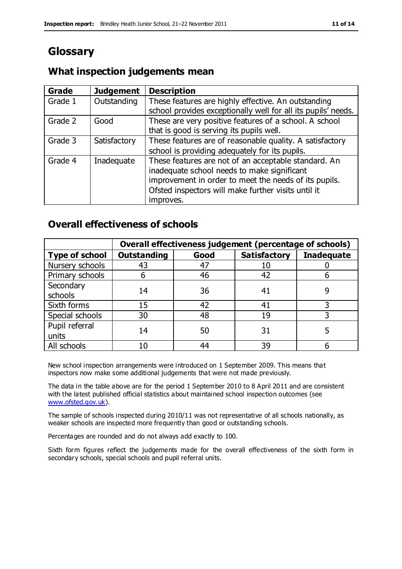# **Glossary**

## **What inspection judgements mean**

| Grade   | <b>Judgement</b> | <b>Description</b>                                            |
|---------|------------------|---------------------------------------------------------------|
| Grade 1 | Outstanding      | These features are highly effective. An outstanding           |
|         |                  | school provides exceptionally well for all its pupils' needs. |
| Grade 2 | Good             | These are very positive features of a school. A school        |
|         |                  | that is good is serving its pupils well.                      |
| Grade 3 | Satisfactory     | These features are of reasonable quality. A satisfactory      |
|         |                  | school is providing adequately for its pupils.                |
| Grade 4 | Inadequate       | These features are not of an acceptable standard. An          |
|         |                  | inadequate school needs to make significant                   |
|         |                  | improvement in order to meet the needs of its pupils.         |
|         |                  | Ofsted inspectors will make further visits until it           |
|         |                  | improves.                                                     |

## **Overall effectiveness of schools**

|                       |                    |      | Overall effectiveness judgement (percentage of schools) |                   |  |
|-----------------------|--------------------|------|---------------------------------------------------------|-------------------|--|
| <b>Type of school</b> | <b>Outstanding</b> | Good | <b>Satisfactory</b>                                     | <b>Inadequate</b> |  |
| Nursery schools       | 43                 | 47   | 10                                                      |                   |  |
| Primary schools       | ჩ                  | 46   | 42                                                      |                   |  |
| Secondary             | 14                 | 36   | 41                                                      |                   |  |
| schools               |                    |      |                                                         |                   |  |
| Sixth forms           | 15                 | 42   | 41                                                      |                   |  |
| Special schools       | 30                 | 48   | 19                                                      |                   |  |
| Pupil referral        | 14                 | 50   | 31                                                      |                   |  |
| units                 |                    |      |                                                         |                   |  |
| All schools           | 10                 | 44   | 39                                                      |                   |  |

New school inspection arrangements were introduced on 1 September 2009. This means that inspectors now make some additional judgements that were not made previously.

The data in the table above are for the period 1 September 2010 to 8 April 2011 and are consistent with the latest published official statistics about maintained school inspection outcomes (see [www.ofsted.gov.uk\)](http://www.ofsted.gov.uk/).

The sample of schools inspected during 2010/11 was not representative of all schools nationally, as weaker schools are inspected more frequently than good or outstanding schools.

Percentages are rounded and do not always add exactly to 100.

Sixth form figures reflect the judgements made for the overall effectiveness of the sixth form in secondary schools, special schools and pupil referral units.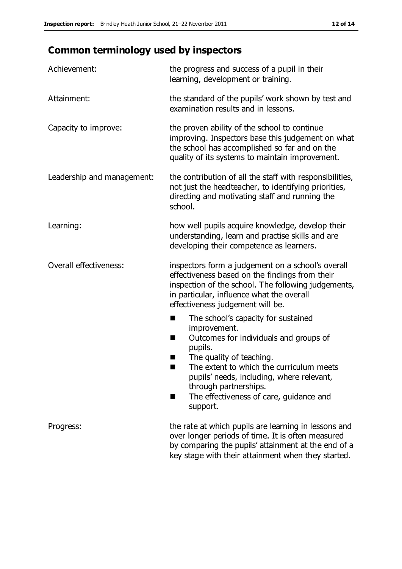# **Common terminology used by inspectors**

| Achievement:               | the progress and success of a pupil in their<br>learning, development or training.                                                                                                                                                                                                                                                |
|----------------------------|-----------------------------------------------------------------------------------------------------------------------------------------------------------------------------------------------------------------------------------------------------------------------------------------------------------------------------------|
| Attainment:                | the standard of the pupils' work shown by test and<br>examination results and in lessons.                                                                                                                                                                                                                                         |
| Capacity to improve:       | the proven ability of the school to continue<br>improving. Inspectors base this judgement on what<br>the school has accomplished so far and on the<br>quality of its systems to maintain improvement.                                                                                                                             |
| Leadership and management: | the contribution of all the staff with responsibilities,<br>not just the headteacher, to identifying priorities,<br>directing and motivating staff and running the<br>school.                                                                                                                                                     |
| Learning:                  | how well pupils acquire knowledge, develop their<br>understanding, learn and practise skills and are<br>developing their competence as learners.                                                                                                                                                                                  |
| Overall effectiveness:     | inspectors form a judgement on a school's overall<br>effectiveness based on the findings from their<br>inspection of the school. The following judgements,<br>in particular, influence what the overall<br>effectiveness judgement will be.                                                                                       |
|                            | The school's capacity for sustained<br>improvement.<br>Outcomes for individuals and groups of<br>H<br>pupils.<br>The quality of teaching.<br>ш<br>The extent to which the curriculum meets<br>٠<br>pupils' needs, including, where relevant,<br>through partnerships.<br>The effectiveness of care, guidance and<br>H<br>support. |
| Progress:                  | the rate at which pupils are learning in lessons and<br>over longer periods of time. It is often measured<br>by comparing the pupils' attainment at the end of a<br>key stage with their attainment when they started.                                                                                                            |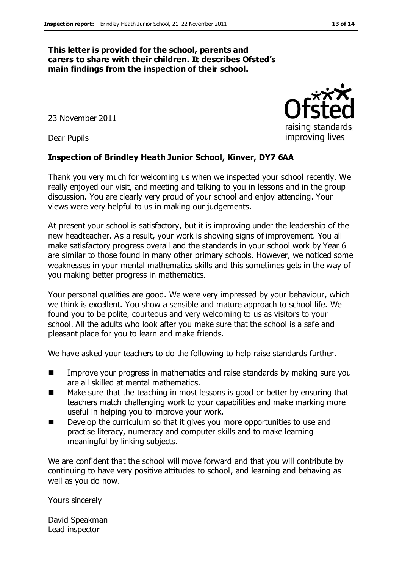#### **This letter is provided for the school, parents and carers to share with their children. It describes Ofsted's main findings from the inspection of their school.**

23 November 2011

Dear Pupils

#### **Inspection of Brindley Heath Junior School, Kinver, DY7 6AA**

Thank you very much for welcoming us when we inspected your school recently. We really enjoyed our visit, and meeting and talking to you in lessons and in the group discussion. You are clearly very proud of your school and enjoy attending. Your views were very helpful to us in making our judgements.

At present your school is satisfactory, but it is improving under the leadership of the new headteacher. As a result, your work is showing signs of improvement. You all make satisfactory progress overall and the standards in your school work by Year 6 are similar to those found in many other primary schools. However, we noticed some weaknesses in your mental mathematics skills and this sometimes gets in the way of you making better progress in mathematics.

Your personal qualities are good. We were very impressed by your behaviour, which we think is excellent. You show a sensible and mature approach to school life. We found you to be polite, courteous and very welcoming to us as visitors to your school. All the adults who look after you make sure that the school is a safe and pleasant place for you to learn and make friends.

We have asked your teachers to do the following to help raise standards further.

- **IMPROVE 2008 IMPROVE YOUR PROGRESS IN MATHEMATICS AND READLEM** FOR STANDARY SURFACTS IN THE SURFACTS IN THE SURFACTS IN THE SURFACTS SURFACTS IN THE SURFACTS IN THE SURFACTS IN THE SURFACTS IN THE SURFACTS IN THE SURFACTS are all skilled at mental mathematics.
- Make sure that the teaching in most lessons is good or better by ensuring that teachers match challenging work to your capabilities and make marking more useful in helping you to improve your work.
- **Develop the curriculum so that it gives you more opportunities to use and** practise literacy, numeracy and computer skills and to make learning meaningful by linking subjects.

We are confident that the school will move forward and that you will contribute by continuing to have very positive attitudes to school, and learning and behaving as well as you do now.

Yours sincerely

David Speakman Lead inspector